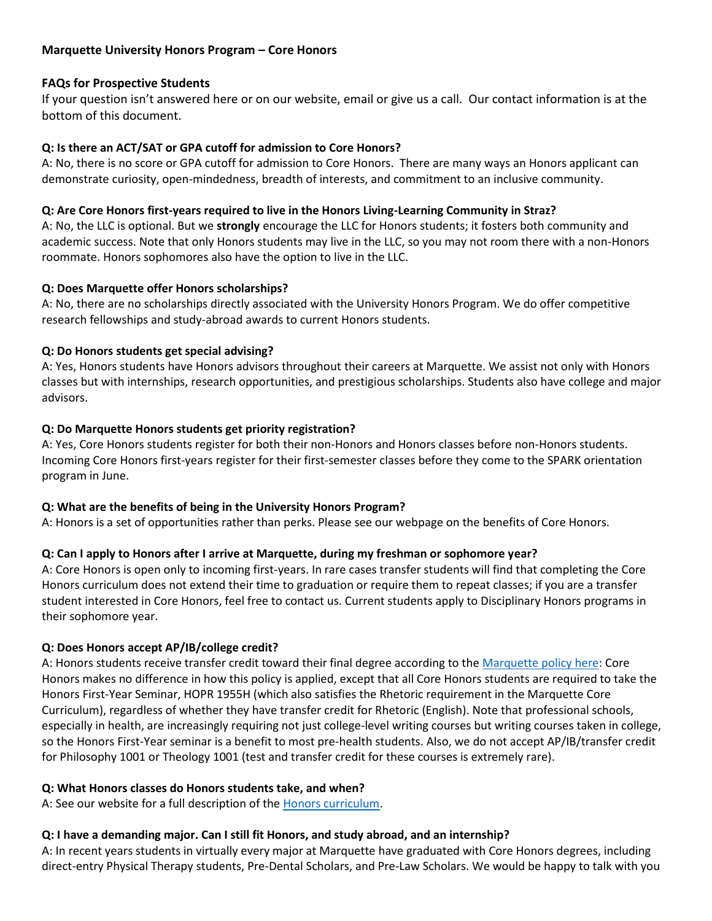# **Marquette University Honors Program – Core Honors**

# **FAQs for Prospective Students**

If your question isn't answered here or on our website, email or give us a call. Our contact information is at the bottom of this document.

### **Q: Is there an ACT/SAT or GPA cutoff for admission to Core Honors?**

A: No, there is no score or GPA cutoff for admission to Core Honors. There are many ways an Honors applicant can demonstrate curiosity, open-mindedness, breadth of interests, and commitment to an inclusive community.

### **Q: Are Core Honors first-years required to live in the Honors Living-Learning Community in Straz?**

A: No, the LLC is optional. But we **strongly** encourage the LLC for Honors students; it fosters both community and academic success. Note that only Honors students may live in the LLC, so you may not room there with a non-Honors roommate. Honors sophomores also have the option to live in the LLC.

### **Q: Does Marquette offer Honors scholarships?**

A: No, there are no scholarships directly associated with the University Honors Program. We do offer competitive research fellowships and study-abroad awards to current Honors students.

# **Q: Do Honors students get special advising?**

A: Yes, Honors students have Honors advisors throughout their careers at Marquette. We assist not only with Honors classes but with internships, research opportunities, and prestigious scholarships. Students also have college and major advisors.

### **Q: Do Marquette Honors students get priority registration?**

A: Yes, Core Honors students register for both their non-Honors and Honors classes before non-Honors students. Incoming Core Honors first-years register for their first-semester classes before they come to the SPARK orientation program in June.

# **Q: What are the benefits of being in the University Honors Program?**

A: Honors is a set of opportunities rather than perks. Please see our webpage on the benefits of Core Honors.

# **Q: Can I apply to Honors after I arrive at Marquette, during my freshman or sophomore year?**

A: Core Honors is open only to incoming first-years. In rare cases transfer students will find that completing the Core Honors curriculum does not extend their time to graduation or require them to repeat classes; if you are a transfer student interested in Core Honors, feel free to contact us. Current students apply to Disciplinary Honors programs in their sophomore year.

#### **Q: Does Honors accept AP/IB/college credit?**

A: Honors students receive transfer credit toward their final degree according to the [Marquette policy here:](http://www.marquette.edu/explore/documents/ap-credit-and-placement.pdf) Core Honors makes no difference in how this policy is applied, except that all Core Honors students are required to take the Honors First-Year Seminar, HOPR 1955H (which also satisfies the Rhetoric requirement in the Marquette Core Curriculum), regardless of whether they have transfer credit for Rhetoric (English). Note that professional schools, especially in health, are increasingly requiring not just college-level writing courses but writing courses taken in college, so the Honors First-Year seminar is a benefit to most pre-health students. Also, we do not accept AP/IB/transfer credit for Philosophy 1001 or Theology 1001 (test and transfer credit for these courses is extremely rare).

#### **Q: What Honors classes do Honors students take, and when?**

A: See our website for a full description of the [Honors curriculum.](http://www.marquette.edu/honors)

# **Q: I have a demanding major. Can I still fit Honors, and study abroad, and an internship?**

A: In recent years students in virtually every major at Marquette have graduated with Core Honors degrees, including direct-entry Physical Therapy students, Pre-Dental Scholars, and Pre-Law Scholars. We would be happy to talk with you